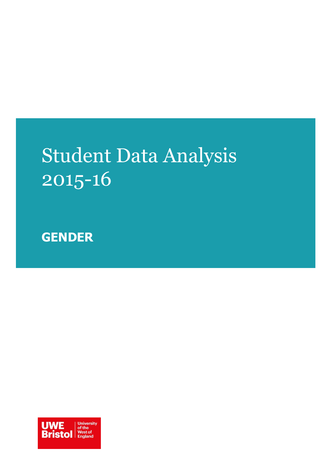# Student Data Analysis 2015-16

**GENDER**

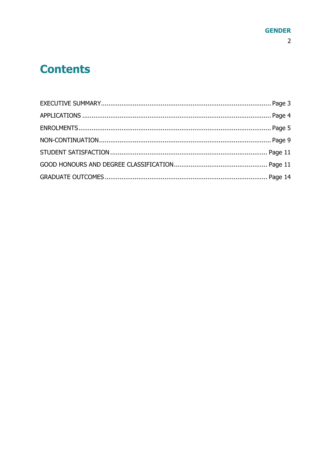### **Contents**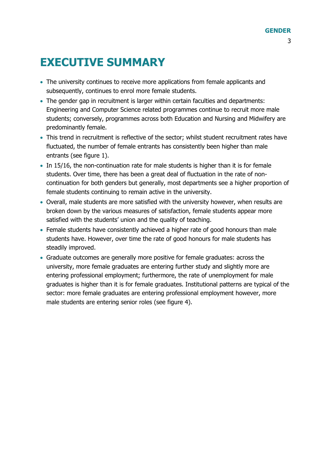### <span id="page-2-0"></span>**EXECUTIVE SUMMARY**

- The university continues to receive more applications from female applicants and subsequently, continues to enrol more female students.
- The gender gap in recruitment is larger within certain faculties and departments: Engineering and Computer Science related programmes continue to recruit more male students; conversely, programmes across both Education and Nursing and Midwifery are predominantly female.
- This trend in recruitment is reflective of the sector; whilst student recruitment rates have fluctuated, the number of female entrants has consistently been higher than male entrants (see figure 1).
- In 15/16, the non-continuation rate for male students is higher than it is for female students. Over time, there has been a great deal of fluctuation in the rate of noncontinuation for both genders but generally, most departments see a higher proportion of female students continuing to remain active in the university.
- Overall, male students are more satisfied with the university however, when results are broken down by the various measures of satisfaction, female students appear more satisfied with the students' union and the quality of teaching.
- Female students have consistently achieved a higher rate of good honours than male students have. However, over time the rate of good honours for male students has steadily improved.
- Graduate outcomes are generally more positive for female graduates: across the university, more female graduates are entering further study and slightly more are entering professional employment; furthermore, the rate of unemployment for male graduates is higher than it is for female graduates. Institutional patterns are typical of the sector: more female graduates are entering professional employment however, more male students are entering senior roles (see figure 4).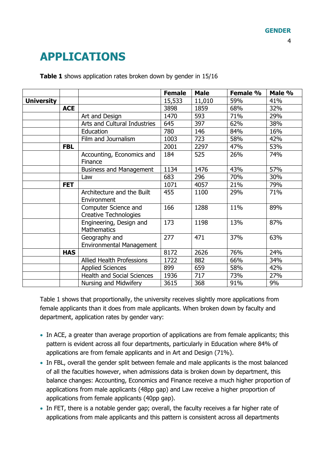## <span id="page-3-0"></span>**APPLICATIONS**

|                   |            |                                                      | <b>Female</b> | <b>Male</b> | Female % | Male % |
|-------------------|------------|------------------------------------------------------|---------------|-------------|----------|--------|
| <b>University</b> |            |                                                      | 15,533        | 11,010      | 59%      | 41%    |
|                   | <b>ACE</b> |                                                      | 3898          | 1859        | 68%      | 32%    |
|                   |            | Art and Design                                       | 1470          | 593         | 71%      | 29%    |
|                   |            | Arts and Cultural Industries                         | 645           | 397         | 62%      | 38%    |
|                   |            | Education                                            | 780           | 146         | 84%      | 16%    |
|                   |            | Film and Journalism                                  | 1003          | 723         | 58%      | 42%    |
|                   | <b>FBL</b> |                                                      | 2001          | 2297        | 47%      | 53%    |
|                   |            | Accounting, Economics and<br>Finance                 | 184           | 525         | 26%      | 74%    |
|                   |            | <b>Business and Management</b>                       | 1134          | 1476        | 43%      | 57%    |
|                   |            | Law                                                  | 683           | 296         | 70%      | 30%    |
|                   | <b>FET</b> |                                                      | 1071          | 4057        | 21%      | 79%    |
|                   |            | Architecture and the Built<br>Environment            | 455           | 1100        | 29%      | 71%    |
|                   |            | Computer Science and<br><b>Creative Technologies</b> | 166           | 1288        | 11%      | 89%    |
|                   |            | Engineering, Design and<br><b>Mathematics</b>        | 173           | 1198        | 13%      | 87%    |
|                   |            | Geography and<br><b>Environmental Management</b>     | 277           | 471         | 37%      | 63%    |
|                   | <b>HAS</b> |                                                      | 8172          | 2626        | 76%      | 24%    |
|                   |            | <b>Allied Health Professions</b>                     | 1722          | 882         | 66%      | 34%    |
|                   |            | <b>Applied Sciences</b>                              | 899           | 659         | 58%      | 42%    |
|                   |            | <b>Health and Social Sciences</b>                    | 1936          | 717         | 73%      | 27%    |
|                   |            | Nursing and Midwifery                                | 3615          | 368         | 91%      | 9%     |

**Table 1** shows application rates broken down by gender in 15/16

Table 1 shows that proportionally, the university receives slightly more applications from female applicants than it does from male applicants. When broken down by faculty and department, application rates by gender vary:

- In ACE, a greater than average proportion of applications are from female applicants; this pattern is evident across all four departments, particularly in Education where 84% of applications are from female applicants and in Art and Design (71%).
- In FBL, overall the gender split between female and male applicants is the most balanced of all the faculties however, when admissions data is broken down by department, this balance changes: Accounting, Economics and Finance receive a much higher proportion of applications from male applicants (48pp gap) and Law receive a higher proportion of applications from female applicants (40pp gap).
- In FET, there is a notable gender gap; overall, the faculty receives a far higher rate of applications from male applicants and this pattern is consistent across all departments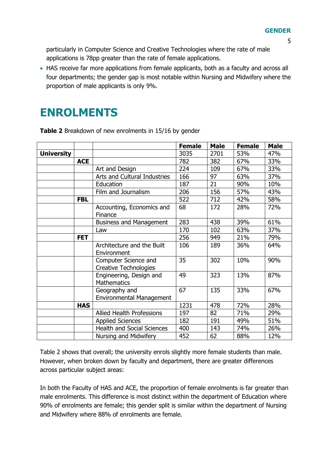particularly in Computer Science and Creative Technologies where the rate of male applications is 78pp greater than the rate of female applications.

 HAS receive far more applications from female applicants, both as a faculty and across all four departments; the gender gap is most notable within Nursing and Midwifery where the proportion of male applicants is only 9%.

### <span id="page-4-0"></span>**ENROLMENTS**

|                   |            |                                                      | <b>Female</b> | <b>Male</b> | <b>Female</b> | <b>Male</b> |
|-------------------|------------|------------------------------------------------------|---------------|-------------|---------------|-------------|
| <b>University</b> |            |                                                      | 3035          | 2701        | 53%           | 47%         |
|                   | <b>ACE</b> |                                                      | 782           | 382         | 67%           | 33%         |
|                   |            | Art and Design                                       | 224           | 109         | 67%           | 33%         |
|                   |            | Arts and Cultural Industries                         | 166           | 97          | 63%           | 37%         |
|                   |            | Education                                            | 187           | 21          | 90%           | 10%         |
|                   |            | Film and Journalism                                  | 206           | 156         | 57%           | 43%         |
|                   | <b>FBL</b> |                                                      | 522           | 712         | 42%           | 58%         |
|                   |            | Accounting, Economics and<br>Finance                 | 68            | 172         | 28%           | 72%         |
|                   |            | <b>Business and Management</b>                       | 283           | 438         | 39%           | 61%         |
|                   |            | Law                                                  | 170           | 102         | 63%           | 37%         |
|                   | <b>FET</b> |                                                      | 256           | 949         | 21%           | 79%         |
|                   |            | Architecture and the Built<br>Environment            | 106           | 189         | 36%           | 64%         |
|                   |            | Computer Science and<br><b>Creative Technologies</b> | 35            | 302         | 10%           | 90%         |
|                   |            | Engineering, Design and<br><b>Mathematics</b>        | 49            | 323         | 13%           | 87%         |
|                   |            | Geography and<br><b>Environmental Management</b>     | 67            | 135         | 33%           | 67%         |
|                   | <b>HAS</b> |                                                      | 1231          | 478         | 72%           | 28%         |
|                   |            | <b>Allied Health Professions</b>                     | 197           | 82          | 71%           | 29%         |
|                   |            | <b>Applied Sciences</b>                              | 182           | 191         | 49%           | 51%         |
|                   |            | <b>Health and Social Sciences</b>                    | 400           | 143         | 74%           | 26%         |
|                   |            | Nursing and Midwifery                                | 452           | 62          | 88%           | 12%         |

**Table 2** Breakdown of new enrolments in 15/16 by gender

Table 2 shows that overall; the university enrols slightly more female students than male. However, when broken down by faculty and department, there are greater differences across particular subject areas:

In both the Faculty of HAS and ACE, the proportion of female enrolments is far greater than male enrolments. This difference is most distinct within the department of Education where 90% of enrolments are female; this gender split is similar within the department of Nursing and Midwifery where 88% of enrolments are female.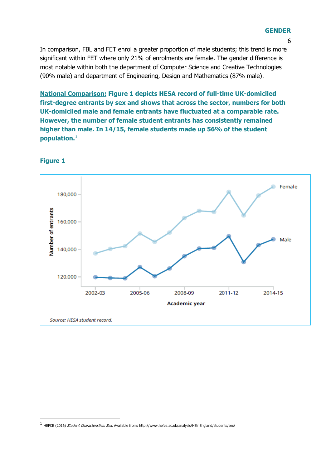#### **GENDER**

6

In comparison, FBL and FET enrol a greater proportion of male students; this trend is more significant within FET where only 21% of enrolments are female. The gender difference is most notable within both the department of Computer Science and Creative Technologies (90% male) and department of Engineering, Design and Mathematics (87% male).

**National Comparison: Figure 1 depicts HESA record of full-time UK-domiciled first-degree entrants by sex and shows that across the sector, numbers for both UK-domiciled male and female entrants have fluctuated at a comparable rate. However, the number of female student entrants has consistently remained higher than male. In 14/15, female students made up 56% of the student population.<sup>1</sup>**



#### **Figure 1**

-

<sup>1</sup> HEFCE (2016) Student Characteristics: Sex. Available from: http://www.hefce.ac.uk/analysis/HEinEngland/students/sex/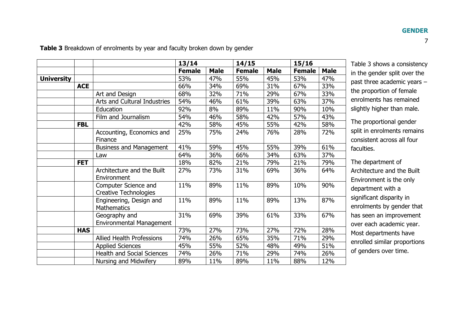**13/14 14/15 15/16 Female Male Female Male Female Male University** 53% 47% 55% 45% 53% 47% **ACE** 66% 34% 69% 31% 67% 33% Art and Design 198% 132% 171% 29% 67% 33% Arts and Cultural Industries 54% 46% 61% 39% 63% 37% Education 92% 8% 89% 11% 90% 10% Film and Journalism | 54% | 46% | 58% | 42% | 57% | 43% **FBL** | | 42% | 58% | 45% | 55% | 42% | 58% Accounting, Economics and Finance 25% 75% 24% 76% 28% 72% Business and Management 41% 59% 45% 55% 39% 61% Law 64% 36% 66% 34% 63% 37% **FET** | | 18% | 82% | 21% | 79% | 21% | 79% Architecture and the Built Environment 27% 73% 31% 69% 36% 64% Computer Science and Creative Technologies 11% 89% 11% 89% 10% 90% Engineering, Design and **Mathematics** 11% 89% 11% 89% 13% 87% Geography and Environmental Management 31% 69% 39% 61% 33% 67% **HAS** 73% 27% 73% 27% 72% 28% Allied Health Professions | 74% | 26% | 65% | 35% | 71% | 29% Applied Sciences 195% 55% 52% 48% 49% 51% Health and Social Sciences | 74% | 26% | 71% | 29% | 74% | 26% Nursing and Midwifery | 89% | 11% | 89% | 11% | 88% | 12%

**Table 3** Breakdown of enrolments by year and faculty broken down by gender

Table 3 shows a consistency in the gender split over the past three academic years – the proportion of female enrolments has remained slightly higher than male.

The proportional gender split in enrolments remains consistent across all four faculties.

The department of Architecture and the Built Environment is the only department with a significant disparity in enrolments by gender that has seen an improvement over each academic year. Most departments have enrolled similar proportions of genders over time.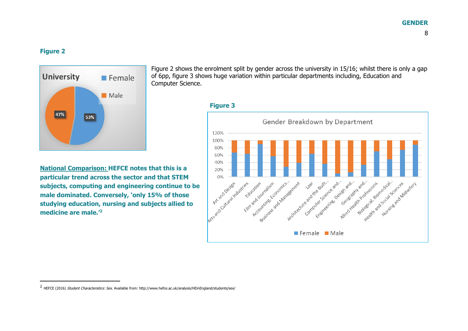#### **GENDER**

#### **Figure 2**

 $\overline{a}$ 



Figure 2 shows the enrolment split by gender across the university in 15/16; whilst there is only a gap of 6pp, figure 3 shows huge variation within particular departments including, Education and Computer Science.



**National Comparison: HEFCE notes that this is a particular trend across the sector and that STEM subjects, computing and engineering continue to be male dominated. Conversely, 'only 15% of those studying education, nursing and subjects allied to medicine are male.'<sup>2</sup>**



<sup>&</sup>lt;sup>2</sup> HEFCE (2016) *Student Characteristics: Sex.* Available from: http://www.hefce.ac.uk/analysis/HEinEngland/students/sex/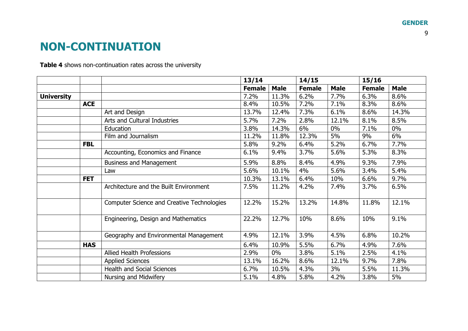### **NON-CONTINUATION**

**Table 4** shows non-continuation rates across the university

<span id="page-8-0"></span>

|                   |                                     |                                                   | 13/14         |             | 14/15         |             | 15/16         |             |
|-------------------|-------------------------------------|---------------------------------------------------|---------------|-------------|---------------|-------------|---------------|-------------|
|                   |                                     |                                                   | <b>Female</b> | <b>Male</b> | <b>Female</b> | <b>Male</b> | <b>Female</b> | <b>Male</b> |
| <b>University</b> |                                     |                                                   | 7.2%          | 11.3%       | 6.2%          | 7.7%        | 6.3%          | 8.6%        |
|                   | <b>ACE</b>                          |                                                   | 8.4%          | 10.5%       | 7.2%          | 7.1%        | 8.3%          | 8.6%        |
|                   |                                     | Art and Design                                    | 13.7%         | 12.4%       | 7.3%          | 6.1%        | 8.6%          | 14.3%       |
|                   |                                     | Arts and Cultural Industries                      | 5.7%          | 7.2%        | 2.8%          | 12.1%       | 8.1%          | 8.5%        |
|                   |                                     | Education                                         | 3.8%          | 14.3%       | 6%            | $0\%$       | 7.1%          | $0\%$       |
|                   |                                     | Film and Journalism                               | 11.2%         | 11.8%       | 12.3%         | 5%          | 9%            | 6%          |
|                   | <b>FBL</b>                          |                                                   | 5.8%          | 9.2%        | 6.4%          | 5.2%        | 6.7%          | 7.7%        |
|                   |                                     | Accounting, Economics and Finance                 | 6.1%          | 9.4%        | 3.7%          | 5.6%        | 5.3%          | 8.3%        |
|                   |                                     | <b>Business and Management</b>                    | 5.9%          | 8.8%        | 8.4%          | 4.9%        | 9.3%          | 7.9%        |
|                   |                                     | Law                                               | 5.6%          | 10.1%       | 4%            | 5.6%        | 3.4%          | 5.4%        |
|                   | <b>FET</b>                          |                                                   | 10.3%         | 13.1%       | 6.4%          | 10%         | 6.6%          | 9.7%        |
|                   |                                     | Architecture and the Built Environment            | 7.5%          | 11.2%       | 4.2%          | 7.4%        | 3.7%          | 6.5%        |
|                   |                                     | <b>Computer Science and Creative Technologies</b> | 12.2%         | 15.2%       | 13.2%         | 14.8%       | 11.8%         | 12.1%       |
|                   | Engineering, Design and Mathematics |                                                   |               | 12.7%       | 10%           | 8.6%        | 10%           | 9.1%        |
|                   |                                     | Geography and Environmental Management            | 4.9%          | 12.1%       | 3.9%          | 4.5%        | 6.8%          | 10.2%       |
|                   | <b>HAS</b>                          |                                                   | 6.4%          | 10.9%       | 5.5%          | 6.7%        | 4.9%          | 7.6%        |
|                   |                                     | Allied Health Professions                         | 2.9%          | $0\%$       | 3.8%          | 5.1%        | 2.5%          | 4.1%        |
|                   |                                     | <b>Applied Sciences</b>                           | 13.1%         | 16.2%       | 8.6%          | 12.1%       | 9.7%          | 7.8%        |
|                   |                                     | <b>Health and Social Sciences</b>                 | 6.7%          | 10.5%       | 4.3%          | 3%          | 5.5%          | 11.3%       |
|                   |                                     | Nursing and Midwifery                             | 5.1%          | 4.8%        | 5.8%          | 4.2%        | 3.8%          | 5%          |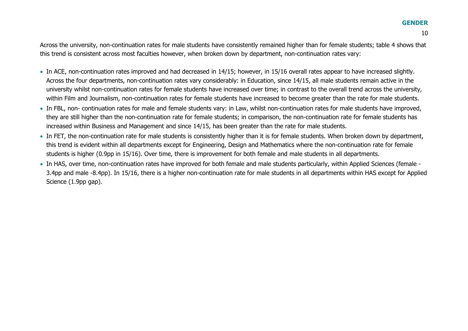#### **GENDER**

Across the university, non-continuation rates for male students have consistently remained higher than for female students; table 4 shows that this trend is consistent across most faculties however, when broken down by department, non-continuation rates vary:

- In ACE, non-continuation rates improved and had decreased in 14/15; however, in 15/16 overall rates appear to have increased slightly. Across the four departments, non-continuation rates vary considerably: in Education, since 14/15, all male students remain active in the university whilst non-continuation rates for female students have increased over time; in contrast to the overall trend across the university, within Film and Journalism, non-continuation rates for female students have increased to become greater than the rate for male students.
- In FBL, non- continuation rates for male and female students vary: in Law, whilst non-continuation rates for male students have improved, they are still higher than the non-continuation rate for female students; in comparison, the non-continuation rate for female students has increased within Business and Management and since 14/15, has been greater than the rate for male students.
- In FET, the non-continuation rate for male students is consistently higher than it is for female students. When broken down by department, this trend is evident within all departments except for Engineering, Design and Mathematics where the non-continuation rate for female students is higher (0.9pp in 15/16). Over time, there is improvement for both female and male students in all departments.
- In HAS, over time, non-continuation rates have improved for both female and male students particularly, within Applied Sciences (female 3.4pp and male -8.4pp). In 15/16, there is a higher non-continuation rate for male students in all departments within HAS except for Applied Science (1.9pp gap).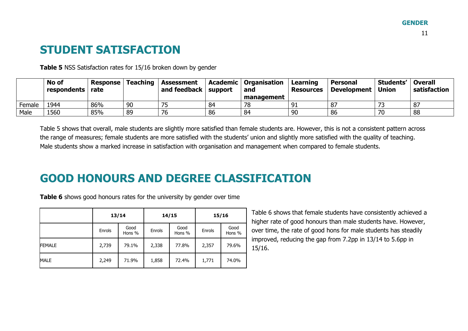### **STUDENT SATISFACTION**

**Table 5** NSS Satisfaction rates for 15/16 broken down by gender

|        | No of<br>respondents | Response<br>rate | <b>Teaching</b> | <b>Assessment</b><br>and feedback $\vert$ support |    | Academic   Organisation  <br>and | Learning<br><b>Resources</b> | <b>Personal</b><br><b>Development</b> | Students'<br><b>Union</b> | Overall<br>satisfaction |
|--------|----------------------|------------------|-----------------|---------------------------------------------------|----|----------------------------------|------------------------------|---------------------------------------|---------------------------|-------------------------|
|        |                      |                  |                 |                                                   |    | management                       |                              |                                       |                           |                         |
| Female | 1944                 | 86%              | 90              | ᅮ                                                 | 84 |                                  | $^{\circ}$                   | 87                                    | --                        | 87                      |
| Male   | 1560                 | 85%              | 89              | 76                                                | 86 | 84                               | 90                           | 86                                    |                           | 88                      |

Table 5 shows that overall, male students are slightly more satisfied than female students are. However, this is not a consistent pattern across the range of measures; female students are more satisfied with the students' union and slightly more satisfied with the quality of teaching. Male students show a marked increase in satisfaction with organisation and management when compared to female students.

### <span id="page-10-0"></span>**GOOD HONOURS AND DEGREE CLASSIFICATION**

**Table 6** shows good honours rates for the university by gender over time

<span id="page-10-1"></span>

|               |        | 13/14          |        | 14/15 | 15/16  |                |  |
|---------------|--------|----------------|--------|-------|--------|----------------|--|
|               | Enrols | Good<br>Hons % | Enrols |       | Enrols | Good<br>Hons % |  |
| <b>FEMALE</b> | 2,739  | 79.1%          | 2,338  | 77.8% | 2,357  | 79.6%          |  |
| <b>MALE</b>   | 2,249  | 71.9%          | 1,858  | 72.4% | 1,771  | 74.0%          |  |

Table 6 shows that female students have consistently achieved a higher rate of good honours than male students have. However, over time, the rate of good hons for male students has steadily improved, reducing the gap from 7.2pp in 13/14 to 5.6pp in 15/16.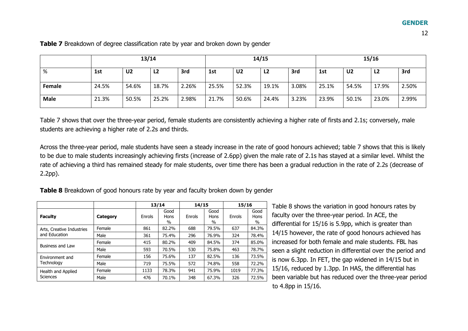|             | 13/14                            |                |                |       |                                  |       | 14/15          |                                  | 15/16 |       |                |       |
|-------------|----------------------------------|----------------|----------------|-------|----------------------------------|-------|----------------|----------------------------------|-------|-------|----------------|-------|
| %           | 1st                              | U <sub>2</sub> | L <sub>2</sub> | 3rd   | 1st                              | U2    | L <sub>2</sub> | 3rd                              | 1st   | U2    | L <sub>2</sub> | 3rd   |
| Female      | 24.5%                            | 54.6%          | 18.7%          | 2.26% | 25.5%                            | 52.3% | 19.1%          | 3.08%                            | 25.1% | 54.5% | 17.9%          | 2.50% |
| <b>Male</b> | 21.3%<br>2.98%<br>50.5%<br>25.2% |                |                |       | 3.23%<br>21.7%<br>50.6%<br>24.4% |       |                | 2.99%<br>23.0%<br>23.9%<br>50.1% |       |       |                |       |

**Table 7** Breakdown of degree classification rate by year and broken down by gender

Table 7 shows that over the three-year period, female students are consistently achieving a higher rate of firsts and 2.1s; conversely, male students are achieving a higher rate of 2.2s and thirds.

Across the three-year period, male students have seen a steady increase in the rate of good honours achieved; table 7 shows that this is likely to be due to male students increasingly achieving firsts (increase of 2.6pp) given the male rate of 2.1s has stayed at a similar level. Whilst the rate of achieving a third has remained steady for male students, over time there has been a gradual reduction in the rate of 2.2s (decrease of 2.2pp).

**Table 8** Breakdown of good honours rate by year and faculty broken down by gender

|                                            |          | 13/14  |                      | 14/15  |                      | 15/16  |                      |
|--------------------------------------------|----------|--------|----------------------|--------|----------------------|--------|----------------------|
| <b>Faculty</b>                             | Category | Enrols | Good<br>Hons<br>$\%$ | Enrols | Good<br>Hons<br>$\%$ | Enrols | Good<br>Hons<br>$\%$ |
| Arts, Creative Industries<br>and Education | Female   | 861    | 82.2%                | 688    | 79.5%                | 637    | 84.3%                |
|                                            | Male     | 361    | 75.4%                | 296    | 76.9%                | 324    | 78.4%                |
| Business and Law                           | Female   | 415    | 80.2%                | 409    | 84.5%                | 374    | 85.0%                |
|                                            | Male     | 593    | 70.5%                | 530    | 75.8%                | 463    | 78.7%                |
| Environment and                            | Female   | 156    | 75.6%                | 137    | 82.5%                | 136    | 73.5%                |
| Technology                                 | Male     | 719    | 75.5%                | 572    | 74.8%                | 558    | 72.2%                |
| Health and Applied                         | Female   | 1133   | 78.3%                | 941    | 75.9%                | 1019   | 77.3%                |
| <b>Sciences</b>                            | Male     | 476    | 70.1%                | 348    | 67.3%                | 326    | 72.5%                |

Table 8 shows the variation in good honours rates by faculty over the three-year period. In ACE, the differential for 15/16 is 5.9pp, which is greater than 14/15 however, the rate of good honours achieved has increased for both female and male students. FBL has seen a slight reduction in differential over the period and is now 6.3pp. In FET, the gap widened in 14/15 but in 15/16, reduced by 1.3pp. In HAS, the differential has been variable but has reduced over the three-year period to 4.8pp in 15/16.

12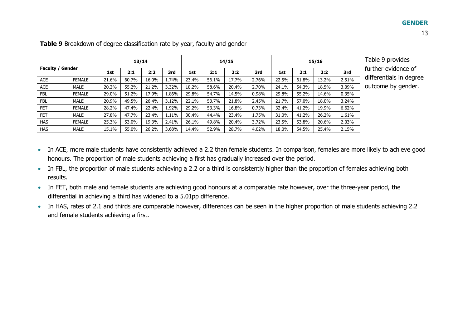|                         | 13/14         |       |       |       |       | 14/15 |       |       |       |       |       | 15/16 |       | Table 9 provides        |
|-------------------------|---------------|-------|-------|-------|-------|-------|-------|-------|-------|-------|-------|-------|-------|-------------------------|
| <b>Faculty / Gender</b> |               | 1st   | 2:1   | 2:2   | 3rd   | 1st   | 2:1   | 2:2   | 3rd   | 1st   | 2:1   | 2:2   | 3rd   | further evidence of     |
| ACE                     | <b>FEMALE</b> | 21.6% | 60.7% | 16.0% | 1.74% | 23.4% | 56.1% | 17.7% | 2.76% | 22.5% | 61.8% | 13.2% | 2.51% | differentials in degree |
| ACE                     | MALE          | 20.2% | 55.2% | 21.2% | 3.32% | 18.2% | 58.6% | 20.4% | 2.70% | 24.1% | 54.3% | 18.5% | 3.09% | outcome by gender.      |
| <b>FBL</b>              | <b>FEMALE</b> | 29.0% | 51.2% | 17.9% | 1.86% | 29.8% | 54.7% | 14.5% | 0.98% | 29.8% | 55.2% | 14.6% | 0.35% |                         |
| <b>FBL</b>              | MALE          | 20.9% | 49.5% | 26.4% | 3.12% | 22.1% | 53.7% | 21.8% | 2.45% | 21.7% | 57.0% | 18.0% | 3.24% |                         |
| <b>FET</b>              | <b>FEMALE</b> | 28.2% | 47.4% | 22.4% | 1.92% | 29.2% | 53.3% | 16.8% | 0.73% | 32.4% | 41.2% | 19.9% | 6.62% |                         |
| <b>FET</b>              | MALE          | 27.8% | 47.7% | 23.4% | 1.11% | 30.4% | 44.4% | 23.4% | 1.75% | 31.0% | 41.2% | 26.2% | 1.61% |                         |
| <b>HAS</b>              | <b>FEMALE</b> | 25.3% | 53.0% | 19.3% | 2.41% | 26.1% | 49.8% | 20.4% | 3.72% | 23.5% | 53.8% | 20.6% | 2.03% |                         |
| <b>HAS</b>              | <b>MALE</b>   | 15.1% | 55.0% | 26.2% | 3.68% | 14.4% | 52.9% | 28.7% | 4.02% | 18.0% | 54.5% | 25.4% | 2.15% |                         |

**Table 9** Breakdown of degree classification rate by year, faculty and gender

- In ACE, more male students have consistently achieved a 2.2 than female students. In comparison, females are more likely to achieve good honours. The proportion of male students achieving a first has gradually increased over the period.
- In FBL, the proportion of male students achieving a 2.2 or a third is consistently higher than the proportion of females achieving both results.
- In FET, both male and female students are achieving good honours at a comparable rate however, over the three-year period, the differential in achieving a third has widened to a 5.01pp difference.
- In HAS, rates of 2.1 and thirds are comparable however, differences can be seen in the higher proportion of male students achieving 2.2 and female students achieving a first.